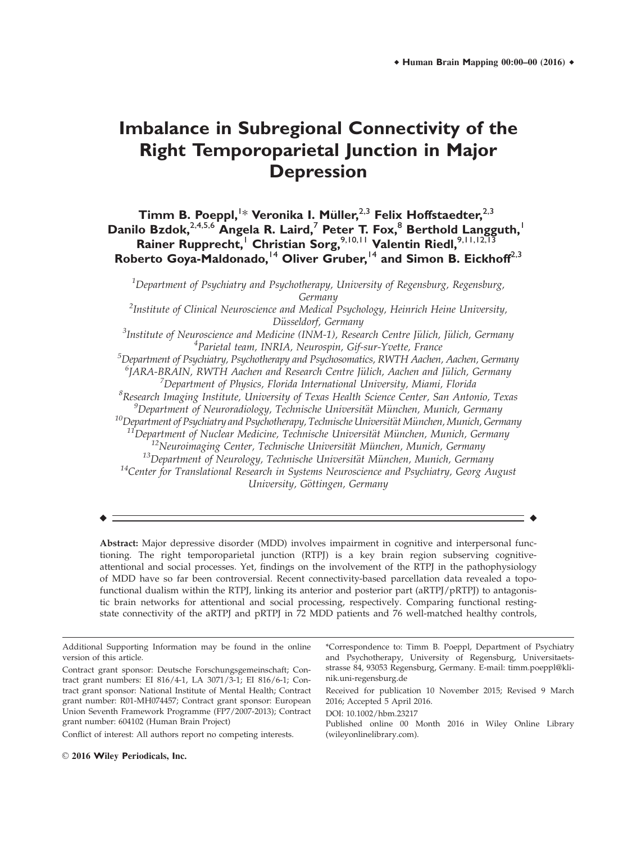# **Imbalance in Subregional Connectivity of the Right Temporoparietal Junction in Major Depression**

# $\textsf{Timm }$  B. Poeppl, <sup>1\*</sup> Veronika I. Müller,<sup>2,3</sup> Felix Hoffstaedter,<sup>2,3</sup> **Danilo Bzdok,**2,4,5,6 **Angela R. Laird,**<sup>7</sup> **Peter T. Fox,**<sup>8</sup> **Berthold Langguth,**<sup>1</sup> **Rainer Rupprecht,**<sup>1</sup> **Christian Sorg,**9,10,11 **Valentin Riedl,**9,11,12,13 **Roberto Goya-Maldonado,**<sup>14</sup> **Oliver Gruber,**<sup>14</sup> **and Simon B. Eickhoff**2,3

 $^1$ Department of Psychiatry and Psychotherapy, University of Regensburg, Regensburg, Germany  $^2$ Institute of Clinical Neuroscience and Medical Psychology, Heinrich Heine University,

Düsseldorf, Germany<br><sup>3</sup>Institute of Neuroscience and Medicine (INM-1), Resea Institute of Neuroscience and Medicine (INM-1), Research Centre Jülich, Jülich, Germany<br><sup>4</sup> Parietal team INBIA, Neurosnin, Cif-sur-Xwette, France <sup>4</sup>Parietal team, INRIA, Neurospin, Gif-sur-Yvette, France

 $^5$ Department of Psychiatry, Psychotherapy and Psychosomatics, RWTH Aachen, Aachen, Germany <sup>6</sup>JARA-BRAIN, RWTH Aachen and Research Centre Jülich, Aachen and Jülich, Germany<br><sup>7</sup> Department of Physics, Elorida International University, Miami, Elorida

Department of Physics, Florida International University, Miami, Florida

<sup>8</sup>Research Imaging Institute, University of Texas Health Science Center, San Antonio, Texas  ${}^{9}$ Department of Neuroradiology, Technische Universität München, Munich, Germany

 $\begin{array}{l} \n ^{10}\text{Department of Psychiatry and Psychology, Technische Universität München, Munich, Germany}\\ \n ^{11}\text{Department of Nuclear Medicine, Technische Universität München, Munich, Germany}\\ \n ^{12}\text{Neuroimaging Center, Techniques} \end{array}$ 

University, Göttingen, Germany

r r

Abstract: Major depressive disorder (MDD) involves impairment in cognitive and interpersonal functioning. The right temporoparietal junction (RTPJ) is a key brain region subserving cognitiveattentional and social processes. Yet, findings on the involvement of the RTPJ in the pathophysiology of MDD have so far been controversial. Recent connectivity-based parcellation data revealed a topofunctional dualism within the RTPJ, linking its anterior and posterior part (aRTPJ/pRTPJ) to antagonistic brain networks for attentional and social processing, respectively. Comparing functional restingstate connectivity of the aRTPJ and pRTPJ in 72 MDD patients and 76 well-matched healthy controls,

| Additional Supporting Information may be found in the online                                                                                                                                                                                    | *Correspondence to: Timm B. Poeppl, Department of Psychiatry                                                                                                                   |
|-------------------------------------------------------------------------------------------------------------------------------------------------------------------------------------------------------------------------------------------------|--------------------------------------------------------------------------------------------------------------------------------------------------------------------------------|
| version of this article.                                                                                                                                                                                                                        | and Psychotherapy, University of Regensburg, Universitaets-                                                                                                                    |
| Contract grant sponsor: Deutsche Forschungsgemeinschaft; Con-<br>tract grant numbers: EI 816/4-1, LA 3071/3-1; EI 816/6-1; Con-                                                                                                                 | strasse 84, 93053 Regensburg, Germany. E-mail: timm.poeppl@kli-<br>nik.uni-regensburg.de                                                                                       |
| tract grant sponsor: National Institute of Mental Health; Contract<br>grant number: R01-MH074457; Contract grant sponsor: European<br>Union Seventh Framework Programme (FP7/2007-2013); Contract<br>grant number: 604102 (Human Brain Project) | Received for publication 10 November 2015; Revised 9 March<br>2016; Accepted 5 April 2016.<br>DOI: 10.1002/hbm.23217<br>Published online 00 Month 2016 in Wiley Online Library |
| Conflict of interest: All authors report no competing interests.                                                                                                                                                                                | (wileyonlinelibrary.com).                                                                                                                                                      |
|                                                                                                                                                                                                                                                 |                                                                                                                                                                                |

 $\odot$  2016 Wiley Periodicals, Inc.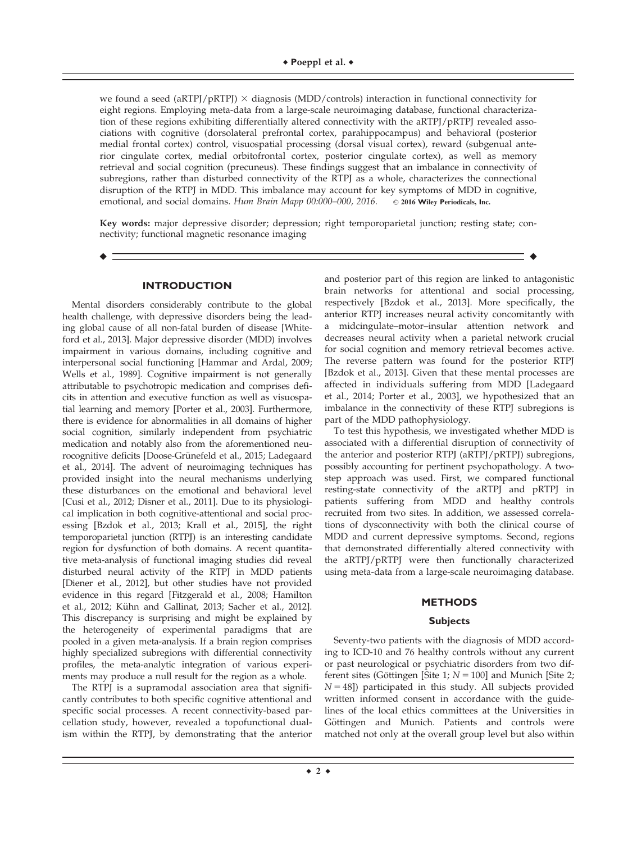we found a seed (aRTPJ/pRTPJ)  $\times$  diagnosis (MDD/controls) interaction in functional connectivity for eight regions. Employing meta-data from a large-scale neuroimaging database, functional characterization of these regions exhibiting differentially altered connectivity with the aRTPJ/pRTPJ revealed associations with cognitive (dorsolateral prefrontal cortex, parahippocampus) and behavioral (posterior medial frontal cortex) control, visuospatial processing (dorsal visual cortex), reward (subgenual anterior cingulate cortex, medial orbitofrontal cortex, posterior cingulate cortex), as well as memory retrieval and social cognition (precuneus). These findings suggest that an imbalance in connectivity of subregions, rather than disturbed connectivity of the RTPJ as a whole, characterizes the connectional disruption of the RTPJ in MDD. This imbalance may account for key symptoms of MDD in cognitive, emotional, and social domains. Hum Brain Mapp 00:000-000, 2016. © 2016 Wiley Periodicals, Inc.

Key words: major depressive disorder; depression; right temporoparietal junction; resting state; connectivity; functional magnetic resonance imaging

r r

#### **INTRODUCTION**

Mental disorders considerably contribute to the global health challenge, with depressive disorders being the leading global cause of all non-fatal burden of disease [Whiteford et al., 2013]. Major depressive disorder (MDD) involves impairment in various domains, including cognitive and interpersonal social functioning [Hammar and Ardal, 2009; Wells et al., 1989]. Cognitive impairment is not generally attributable to psychotropic medication and comprises deficits in attention and executive function as well as visuospatial learning and memory [Porter et al., 2003]. Furthermore, there is evidence for abnormalities in all domains of higher social cognition, similarly independent from psychiatric medication and notably also from the aforementioned neurocognitive deficits [Doose-Grünefeld et al., 2015; Ladegaard et al., 2014]. The advent of neuroimaging techniques has provided insight into the neural mechanisms underlying these disturbances on the emotional and behavioral level [Cusi et al., 2012; Disner et al., 2011]. Due to its physiological implication in both cognitive-attentional and social processing [Bzdok et al., 2013; Krall et al., 2015], the right temporoparietal junction (RTPJ) is an interesting candidate region for dysfunction of both domains. A recent quantitative meta-analysis of functional imaging studies did reveal disturbed neural activity of the RTPJ in MDD patients [Diener et al., 2012], but other studies have not provided evidence in this regard [Fitzgerald et al., 2008; Hamilton et al., 2012; Kühn and Gallinat, 2013; Sacher et al., 2012]. This discrepancy is surprising and might be explained by the heterogeneity of experimental paradigms that are pooled in a given meta-analysis. If a brain region comprises highly specialized subregions with differential connectivity profiles, the meta-analytic integration of various experiments may produce a null result for the region as a whole.

The RTPJ is a supramodal association area that significantly contributes to both specific cognitive attentional and specific social processes. A recent connectivity-based parcellation study, however, revealed a topofunctional dualism within the RTPJ, by demonstrating that the anterior

and posterior part of this region are linked to antagonistic brain networks for attentional and social processing, respectively [Bzdok et al., 2013]. More specifically, the anterior RTPJ increases neural activity concomitantly with a midcingulate–motor–insular attention network and decreases neural activity when a parietal network crucial for social cognition and memory retrieval becomes active. The reverse pattern was found for the posterior RTPJ [Bzdok et al., 2013]. Given that these mental processes are affected in individuals suffering from MDD [Ladegaard et al., 2014; Porter et al., 2003], we hypothesized that an imbalance in the connectivity of these RTPJ subregions is part of the MDD pathophysiology.

To test this hypothesis, we investigated whether MDD is associated with a differential disruption of connectivity of the anterior and posterior RTPJ (aRTPJ/pRTPJ) subregions, possibly accounting for pertinent psychopathology. A twostep approach was used. First, we compared functional resting-state connectivity of the aRTPJ and pRTPJ in patients suffering from MDD and healthy controls recruited from two sites. In addition, we assessed correlations of dysconnectivity with both the clinical course of MDD and current depressive symptoms. Second, regions that demonstrated differentially altered connectivity with the aRTPJ/pRTPJ were then functionally characterized using meta-data from a large-scale neuroimaging database.

#### **METHODS**

#### **Subjects**

Seventy-two patients with the diagnosis of MDD according to ICD-10 and 76 healthy controls without any current or past neurological or psychiatric disorders from two different sites (Göttingen [Site 1;  $N = 100$ ] and Munich [Site 2;  $N = 48$ ]) participated in this study. All subjects provided written informed consent in accordance with the guidelines of the local ethics committees at the Universities in Göttingen and Munich. Patients and controls were matched not only at the overall group level but also within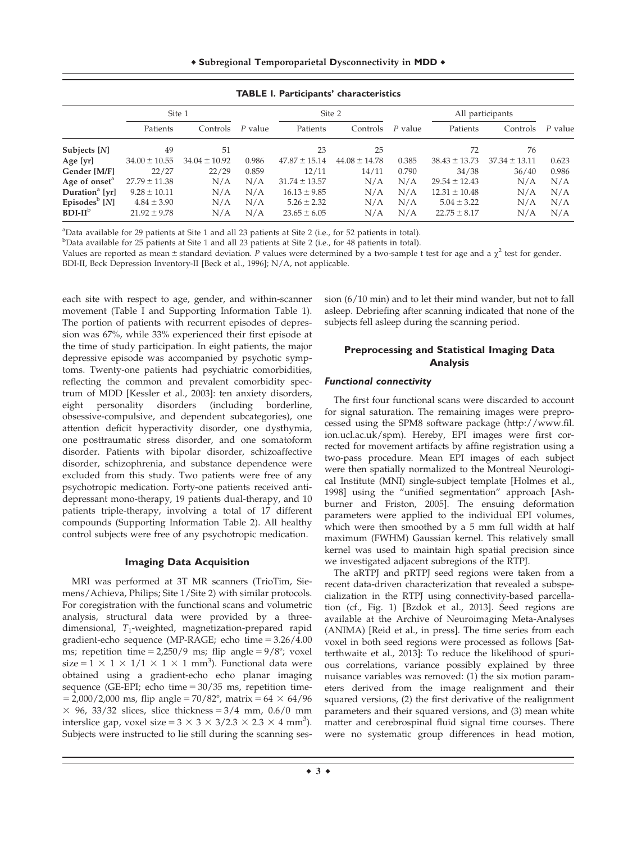<sup>r</sup> **S**ubregional **T**emporoparietal **D**ysconnectivity in **MDD** <sup>r</sup>

|                            | Site 1            |                   | Site 2  |                   |                   |         | All participants  |                   |         |
|----------------------------|-------------------|-------------------|---------|-------------------|-------------------|---------|-------------------|-------------------|---------|
|                            | Patients          | Controls          | P value | Patients          | Controls          | P value | Patients          | Controls          | P value |
| Subjects [N]               | 49                | 51                |         | 23                | 25                |         | 72                | 76                |         |
| Age [yr]                   | $34.00 \pm 10.55$ | $34.04 \pm 10.92$ | 0.986   | $47.87 \pm 15.14$ | $44.08 \pm 14.78$ | 0.385   | $38.43 \pm 13.73$ | $37.34 \pm 13.11$ | 0.623   |
| Gender [M/F]               | 22/27             | 22/29             | 0.859   | 12/11             | 14/11             | 0.790   | 34/38             | 36/40             | 0.986   |
| Age of onset <sup>a</sup>  | $27.79 \pm 11.38$ | N/A               | N/A     | $31.74 \pm 13.57$ | N/A               | N/A     | $29.54 \pm 12.43$ | N/A               | N/A     |
| Duration <sup>a</sup> [yr] | $9.28 \pm 10.11$  | N/A               | N/A     | $16.13 \pm 9.85$  | N/A               | N/A     | $12.31 \pm 10.48$ | N/A               | N/A     |
| Episodes $\rm^b$ [N]       | $4.84 \pm 3.90$   | N/A               | N/A     | $5.26 \pm 2.32$   | N/A               | N/A     | $5.04 \pm 3.22$   | N/A               | N/A     |
| $BDI-IIb$                  | $21.92 \pm 9.78$  | N/A               | N/A     | $23.65 \pm 6.05$  | N/A               | N/A     | $22.75 \pm 8.17$  | N/A               | N/A     |

**TABLE I. Participants' characteristics**

<sup>a</sup>Data available for 29 patients at Site 1 and all 23 patients at Site 2 (i.e., for 52 patients in total).

<sup>b</sup>Data available for 25 patients at Site 1 and all 23 patients at Site 2 (i.e., for 48 patients in total).

Values are reported as mean  $\pm$  standard deviation. P values were determined by a two-sample t test for age and a  $\chi^2$  test for gender. BDI-II, Beck Depression Inventory-II [Beck et al., 1996]; N/A, not applicable.

each site with respect to age, gender, and within-scanner movement (Table I and Supporting Information Table 1). The portion of patients with recurrent episodes of depression was 67%, while 33% experienced their first episode at the time of study participation. In eight patients, the major depressive episode was accompanied by psychotic symptoms. Twenty-one patients had psychiatric comorbidities, reflecting the common and prevalent comorbidity spectrum of MDD [Kessler et al., 2003]: ten anxiety disorders, eight personality disorders (including borderline, obsessive-compulsive, and dependent subcategories), one attention deficit hyperactivity disorder, one dysthymia, one posttraumatic stress disorder, and one somatoform disorder. Patients with bipolar disorder, schizoaffective disorder, schizophrenia, and substance dependence were excluded from this study. Two patients were free of any psychotropic medication. Forty-one patients received antidepressant mono-therapy, 19 patients dual-therapy, and 10 patients triple-therapy, involving a total of 17 different compounds (Supporting Information Table 2). All healthy control subjects were free of any psychotropic medication.

# **Imaging Data Acquisition**

MRI was performed at 3T MR scanners (TrioTim, Siemens/Achieva, Philips; Site 1/Site 2) with similar protocols. For coregistration with the functional scans and volumetric analysis, structural data were provided by a threedimensional,  $T_1$ -weighted, magnetization-prepared rapid gradient-echo sequence (MP-RAGE; echo time  $= 3.26/4.00$ ms; repetition time =  $2,250/9$  ms; flip angle =  $9/8^\circ$ ; voxel size =  $1 \times 1 \times 1/1 \times 1 \times 1$  mm<sup>3</sup>). Functional data were obtained using a gradient-echo echo planar imaging sequence (GE-EPI; echo time  $= 30/35$  ms, repetition time- $= 2,000/2,000$  ms, flip angle  $= 70/82^{\circ}$ , matrix  $= 64 \times 64/96$  $\times$  96, 33/32 slices, slice thickness = 3/4 mm, 0.6/0 mm interslice gap, voxel size =  $3 \times 3 \times 3/2.3 \times 2.3 \times 4$  mm<sup>3</sup>). Subjects were instructed to lie still during the scanning session (6/10 min) and to let their mind wander, but not to fall asleep. Debriefing after scanning indicated that none of the subjects fell asleep during the scanning period.

# **Preprocessing and Statistical Imaging Data Analysis**

# Functional connectivity

The first four functional scans were discarded to account for signal saturation. The remaining images were preprocessed using the SPM8 software package [\(http://www.fil.](http://www.fil.ion.ucl.ac.uk/spm) [ion.ucl.ac.uk/spm](http://www.fil.ion.ucl.ac.uk/spm)). Hereby, EPI images were first corrected for movement artifacts by affine registration using a two-pass procedure. Mean EPI images of each subject were then spatially normalized to the Montreal Neurological Institute (MNI) single-subject template [Holmes et al., 1998] using the "unified segmentation" approach [Ashburner and Friston, 2005]. The ensuing deformation parameters were applied to the individual EPI volumes, which were then smoothed by a 5 mm full width at half maximum (FWHM) Gaussian kernel. This relatively small kernel was used to maintain high spatial precision since we investigated adjacent subregions of the RTPJ.

The aRTPJ and pRTPJ seed regions were taken from a recent data-driven characterization that revealed a subspecialization in the RTPJ using connectivity-based parcellation (cf., Fig. 1) [Bzdok et al., 2013]. Seed regions are available at the Archive of Neuroimaging Meta-Analyses (ANIMA) [Reid et al., in press]. The time series from each voxel in both seed regions were processed as follows [Satterthwaite et al., 2013]: To reduce the likelihood of spurious correlations, variance possibly explained by three nuisance variables was removed: (1) the six motion parameters derived from the image realignment and their squared versions, (2) the first derivative of the realignment parameters and their squared versions, and (3) mean white matter and cerebrospinal fluid signal time courses. There were no systematic group differences in head motion,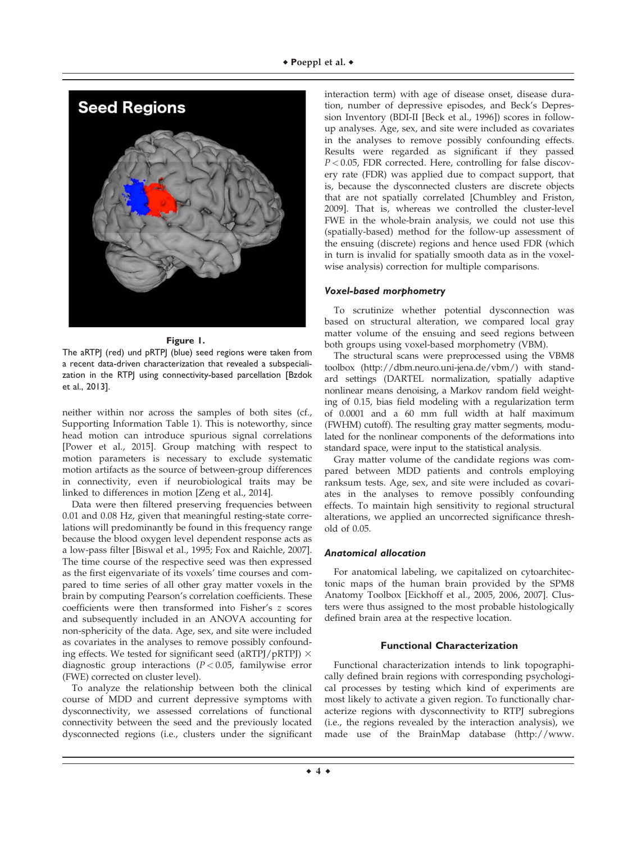

#### **Figure 1.**

The aRTPJ (red) und pRTPJ (blue) seed regions were taken from a recent data-driven characterization that revealed a subspecialization in the RTPJ using connectivity-based parcellation [Bzdok et al., 2013].

neither within nor across the samples of both sites (cf., Supporting Information Table 1). This is noteworthy, since head motion can introduce spurious signal correlations [Power et al., 2015]. Group matching with respect to motion parameters is necessary to exclude systematic motion artifacts as the source of between-group differences in connectivity, even if neurobiological traits may be linked to differences in motion [Zeng et al., 2014].

Data were then filtered preserving frequencies between 0.01 and 0.08 Hz, given that meaningful resting-state correlations will predominantly be found in this frequency range because the blood oxygen level dependent response acts as a low-pass filter [Biswal et al., 1995; Fox and Raichle, 2007]. The time course of the respective seed was then expressed as the first eigenvariate of its voxels' time courses and compared to time series of all other gray matter voxels in the brain by computing Pearson's correlation coefficients. These coefficients were then transformed into Fisher's z scores and subsequently included in an ANOVA accounting for non-sphericity of the data. Age, sex, and site were included as covariates in the analyses to remove possibly confounding effects. We tested for significant seed (aRTPJ/pRTPJ)  $\times$ diagnostic group interactions ( $P < 0.05$ , familywise error (FWE) corrected on cluster level).

To analyze the relationship between both the clinical course of MDD and current depressive symptoms with dysconnectivity, we assessed correlations of functional connectivity between the seed and the previously located dysconnected regions (i.e., clusters under the significant interaction term) with age of disease onset, disease duration, number of depressive episodes, and Beck's Depression Inventory (BDI-II [Beck et al., 1996]) scores in followup analyses. Age, sex, and site were included as covariates in the analyses to remove possibly confounding effects. Results were regarded as significant if they passed  $P < 0.05$ , FDR corrected. Here, controlling for false discovery rate (FDR) was applied due to compact support, that is, because the dysconnected clusters are discrete objects that are not spatially correlated [Chumbley and Friston, 2009]. That is, whereas we controlled the cluster-level FWE in the whole-brain analysis, we could not use this (spatially-based) method for the follow-up assessment of the ensuing (discrete) regions and hence used FDR (which in turn is invalid for spatially smooth data as in the voxelwise analysis) correction for multiple comparisons.

### Voxel-based morphometry

To scrutinize whether potential dysconnection was based on structural alteration, we compared local gray matter volume of the ensuing and seed regions between both groups using voxel-based morphometry (VBM).

The structural scans were preprocessed using the VBM8 toolbox ([http://dbm.neuro.uni-jena.de/vbm/](http://dbm.neuro.uni-jena.de/vbm)) with standard settings (DARTEL normalization, spatially adaptive nonlinear means denoising, a Markov random field weighting of 0.15, bias field modeling with a regularization term of 0.0001 and a 60 mm full width at half maximum (FWHM) cutoff). The resulting gray matter segments, modulated for the nonlinear components of the deformations into standard space, were input to the statistical analysis.

Gray matter volume of the candidate regions was compared between MDD patients and controls employing ranksum tests. Age, sex, and site were included as covariates in the analyses to remove possibly confounding effects. To maintain high sensitivity to regional structural alterations, we applied an uncorrected significance threshold of 0.05.

# Anatomical allocation

For anatomical labeling, we capitalized on cytoarchitectonic maps of the human brain provided by the SPM8 Anatomy Toolbox [Eickhoff et al., 2005, 2006, 2007]. Clusters were thus assigned to the most probable histologically defined brain area at the respective location.

# **Functional Characterization**

Functional characterization intends to link topographically defined brain regions with corresponding psychological processes by testing which kind of experiments are most likely to activate a given region. To functionally characterize regions with dysconnectivity to RTPJ subregions (i.e., the regions revealed by the interaction analysis), we made use of the BrainMap database ([http://www.](http://www.brainmap.org)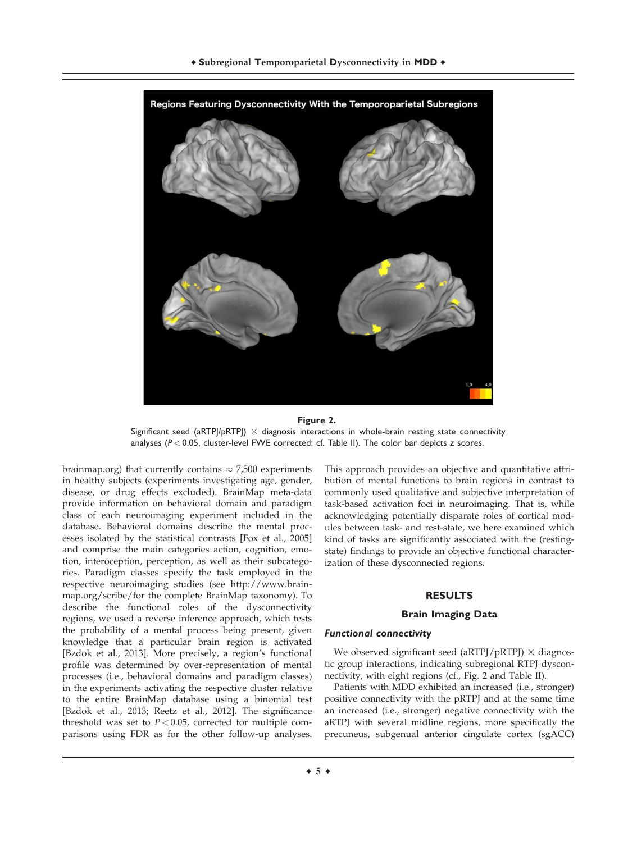

#### **Figure 2.**

Significant seed (aRTPJ/pRTPJ)  $\times$  diagnosis interactions in whole-brain resting state connectivity analyses (*P* < 0.05, cluster-level FWE corrected; cf. Table II). The color bar depicts *z* scores.

[brainmap.org](http://www.brainmap.org)) that currently contains  $\approx$  7,500 experiments in healthy subjects (experiments investigating age, gender, disease, or drug effects excluded). BrainMap meta-data provide information on behavioral domain and paradigm class of each neuroimaging experiment included in the database. Behavioral domains describe the mental processes isolated by the statistical contrasts [Fox et al., 2005] and comprise the main categories action, cognition, emotion, interoception, perception, as well as their subcategories. Paradigm classes specify the task employed in the respective neuroimaging studies (see [http://www.brain](http://www.brainmap.org/scribe/for)[map.org/scribe/for](http://www.brainmap.org/scribe/for) the complete BrainMap taxonomy). To describe the functional roles of the dysconnectivity regions, we used a reverse inference approach, which tests the probability of a mental process being present, given knowledge that a particular brain region is activated [Bzdok et al., 2013]. More precisely, a region's functional profile was determined by over-representation of mental processes (i.e., behavioral domains and paradigm classes) in the experiments activating the respective cluster relative to the entire BrainMap database using a binomial test [Bzdok et al., 2013; Reetz et al., 2012]. The significance threshold was set to  $P < 0.05$ , corrected for multiple comparisons using FDR as for the other follow-up analyses.

This approach provides an objective and quantitative attribution of mental functions to brain regions in contrast to commonly used qualitative and subjective interpretation of task-based activation foci in neuroimaging. That is, while acknowledging potentially disparate roles of cortical modules between task- and rest-state, we here examined which kind of tasks are significantly associated with the (restingstate) findings to provide an objective functional characterization of these dysconnected regions.

#### **RESULTS**

#### **Brain Imaging Data**

#### Functional connectivity

We observed significant seed (aRTPJ/pRTPJ)  $\times$  diagnostic group interactions, indicating subregional RTPJ dysconnectivity, with eight regions (cf., Fig. 2 and Table II).

Patients with MDD exhibited an increased (i.e., stronger) positive connectivity with the pRTPJ and at the same time an increased (i.e., stronger) negative connectivity with the aRTPJ with several midline regions, more specifically the precuneus, subgenual anterior cingulate cortex (sgACC)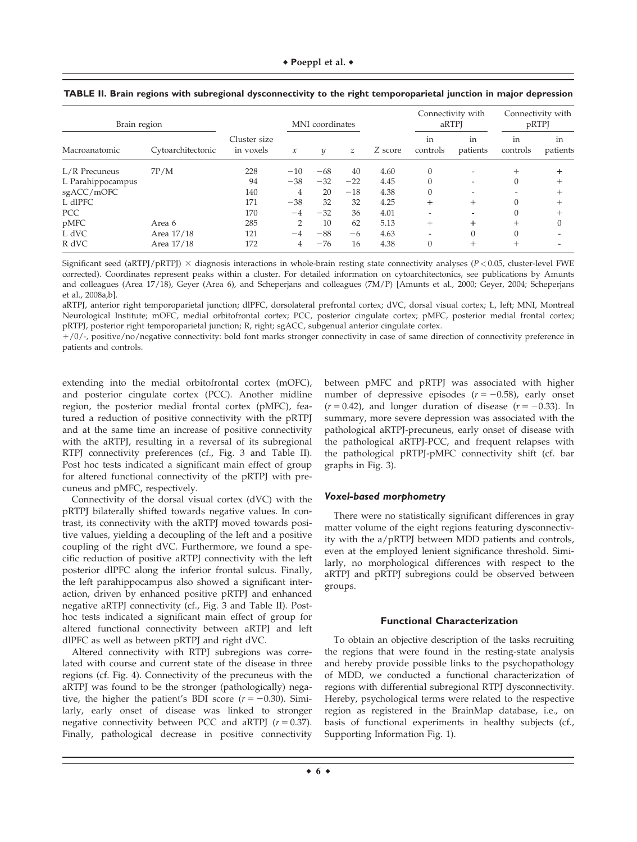| Brain region      |                   |                           | MNI coordinates |       |               | Connectivity with<br>aRTPI |                | Connectivity with<br>pRTPJ |                |                |
|-------------------|-------------------|---------------------------|-----------------|-------|---------------|----------------------------|----------------|----------------------------|----------------|----------------|
| Macroanatomic     | Cytoarchitectonic | Cluster size<br>in voxels | $\mathcal{X}$   | y     | $\mathcal{Z}$ | Z score                    | in<br>controls | in<br>patients             | in<br>controls | in<br>patients |
| L/R Precuneus     | 7P/M              | 228                       | $-10$           | $-68$ | 40            | 4.60                       | $\theta$       | $\overline{\phantom{0}}$   | $^{+}$         |                |
| L Parahippocampus |                   | 94                        | $-38$           | $-32$ | $-22$         | 4.45                       | $\Omega$       | $\overline{\phantom{a}}$   | 0              | +              |
| sgACC/mOFC        |                   | 140                       | 4               | 20    | $-18$         | 4.38                       | $\Omega$       |                            |                |                |
| L dlPFC           |                   | 171                       | $-38$           | 32    | 32            | 4.25                       | +              | $^+$                       | 0              |                |
| <b>PCC</b>        |                   | 170                       | $-4$            | $-32$ | 36            | 4.01                       |                |                            |                |                |
| pMFC              | Area 6            | 285                       | 2               | 10    | 62            | 5.13                       | $^{+}$         | ÷                          | $^{+}$         |                |
| L dVC             | Area 17/18        | 121                       | $-4$            | $-88$ | $-6$          | 4.63                       |                | $\Omega$                   | 0              |                |
| R dVC             | Area 17/18        | 172                       | 4               | $-76$ | 16            | 4.38                       | $\Omega$       | $^+$                       | $^+$           |                |

| TABLE II. Brain regions with subregional dysconnectivity to the right temporoparietal junction in major depression |  |  |  |  |  |
|--------------------------------------------------------------------------------------------------------------------|--|--|--|--|--|
|                                                                                                                    |  |  |  |  |  |

Significant seed (aRTPJ/pRTPJ)  $\times$  diagnosis interactions in whole-brain resting state connectivity analyses ( $P < 0.05$ , cluster-level FWE corrected). Coordinates represent peaks within a cluster. For detailed information on cytoarchitectonics, see publications by Amunts and colleagues (Area 17/18), Geyer (Area 6), and Scheperjans and colleagues (7M/P) [Amunts et al., 2000; Geyer, 2004; Scheperjans et al., 2008a,b].

aRTPJ, anterior right temporoparietal junction; dlPFC, dorsolateral prefrontal cortex; dVC, dorsal visual cortex; L, left; MNI, Montreal Neurological Institute; mOFC, medial orbitofrontal cortex; PCC, posterior cingulate cortex; pMFC, posterior medial frontal cortex; pRTPJ, posterior right temporoparietal junction; R, right; sgACC, subgenual anterior cingulate cortex.

 $1/0$ /-, positive/no/negative connectivity: bold font marks stronger connectivity in case of same direction of connectivity preference in patients and controls.

extending into the medial orbitofrontal cortex (mOFC), and posterior cingulate cortex (PCC). Another midline region, the posterior medial frontal cortex (pMFC), featured a reduction of positive connectivity with the pRTPJ and at the same time an increase of positive connectivity with the aRTPJ, resulting in a reversal of its subregional RTPJ connectivity preferences (cf., Fig. 3 and Table II). Post hoc tests indicated a significant main effect of group for altered functional connectivity of the pRTPJ with precuneus and pMFC, respectively.

Connectivity of the dorsal visual cortex (dVC) with the pRTPJ bilaterally shifted towards negative values. In contrast, its connectivity with the aRTPJ moved towards positive values, yielding a decoupling of the left and a positive coupling of the right dVC. Furthermore, we found a specific reduction of positive aRTPJ connectivity with the left posterior dlPFC along the inferior frontal sulcus. Finally, the left parahippocampus also showed a significant interaction, driven by enhanced positive pRTPJ and enhanced negative aRTPJ connectivity (cf., Fig. 3 and Table II). Posthoc tests indicated a significant main effect of group for altered functional connectivity between aRTPJ and left dlPFC as well as between pRTPJ and right dVC.

Altered connectivity with RTPJ subregions was correlated with course and current state of the disease in three regions (cf. Fig. 4). Connectivity of the precuneus with the aRTPJ was found to be the stronger (pathologically) negative, the higher the patient's BDI score  $(r = -0.30)$ . Similarly, early onset of disease was linked to stronger negative connectivity between PCC and aRTPJ ( $r = 0.37$ ). Finally, pathological decrease in positive connectivity between pMFC and pRTPJ was associated with higher number of depressive episodes  $(r = -0.58)$ , early onset  $(r = 0.42)$ , and longer duration of disease  $(r = -0.33)$ . In summary, more severe depression was associated with the pathological aRTPJ-precuneus, early onset of disease with the pathological aRTPJ-PCC, and frequent relapses with the pathological pRTPJ-pMFC connectivity shift (cf. bar graphs in Fig. 3).

#### Voxel-based morphometry

There were no statistically significant differences in gray matter volume of the eight regions featuring dysconnectivity with the a/pRTPJ between MDD patients and controls, even at the employed lenient significance threshold. Similarly, no morphological differences with respect to the aRTPJ and pRTPJ subregions could be observed between groups.

#### **Functional Characterization**

To obtain an objective description of the tasks recruiting the regions that were found in the resting-state analysis and hereby provide possible links to the psychopathology of MDD, we conducted a functional characterization of regions with differential subregional RTPJ dysconnectivity. Hereby, psychological terms were related to the respective region as registered in the BrainMap database, i.e., on basis of functional experiments in healthy subjects (cf., Supporting Information Fig. 1).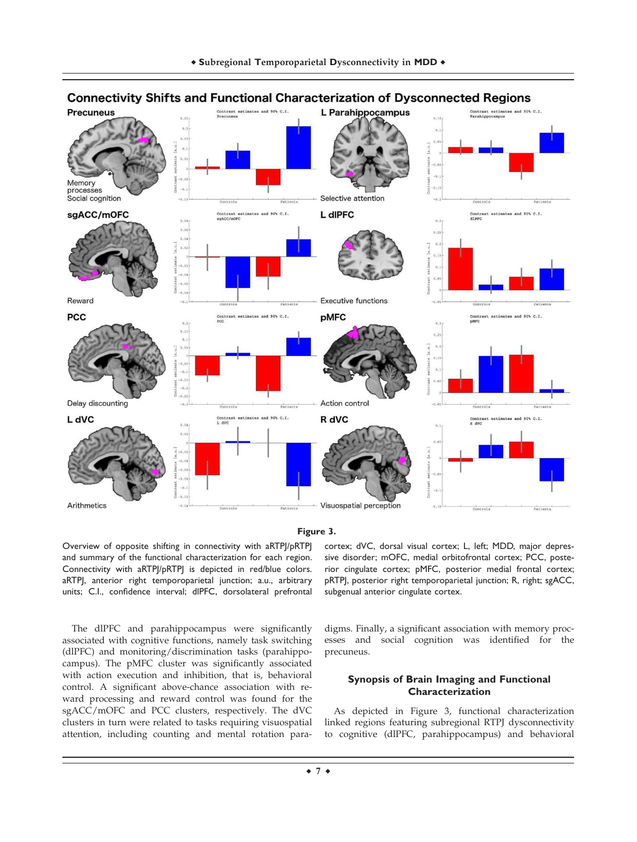

# **Connectivity Shifts and Functional Characterization of Dysconnected Regions**

**Figure 3.**

Overview of opposite shifting in connectivity with aRTPJ/pRTPJ and summary of the functional characterization for each region. Connectivity with aRTPJ/pRTPJ is depicted in red/blue colors. aRTPJ, anterior right temporoparietal junction; a.u., arbitrary units; C.I., confidence interval; dlPFC, dorsolateral prefrontal

The dlPFC and parahippocampus were significantly associated with cognitive functions, namely task switching (dlPFC) and monitoring/discrimination tasks (parahippocampus). The pMFC cluster was significantly associated with action execution and inhibition, that is, behavioral control. A significant above-chance association with reward processing and reward control was found for the sgACC/mOFC and PCC clusters, respectively. The dVC clusters in turn were related to tasks requiring visuospatial attention, including counting and mental rotation paracortex; dVC, dorsal visual cortex; L, left; MDD, major depressive disorder; mOFC, medial orbitofrontal cortex; PCC, posterior cingulate cortex; pMFC, posterior medial frontal cortex; pRTPJ, posterior right temporoparietal junction; R, right; sgACC, subgenual anterior cingulate cortex.

digms. Finally, a significant association with memory processes and social cognition was identified for the precuneus.

# **Synopsis of Brain Imaging and Functional Characterization**

As depicted in Figure 3, functional characterization linked regions featuring subregional RTPJ dysconnectivity to cognitive (dlPFC, parahippocampus) and behavioral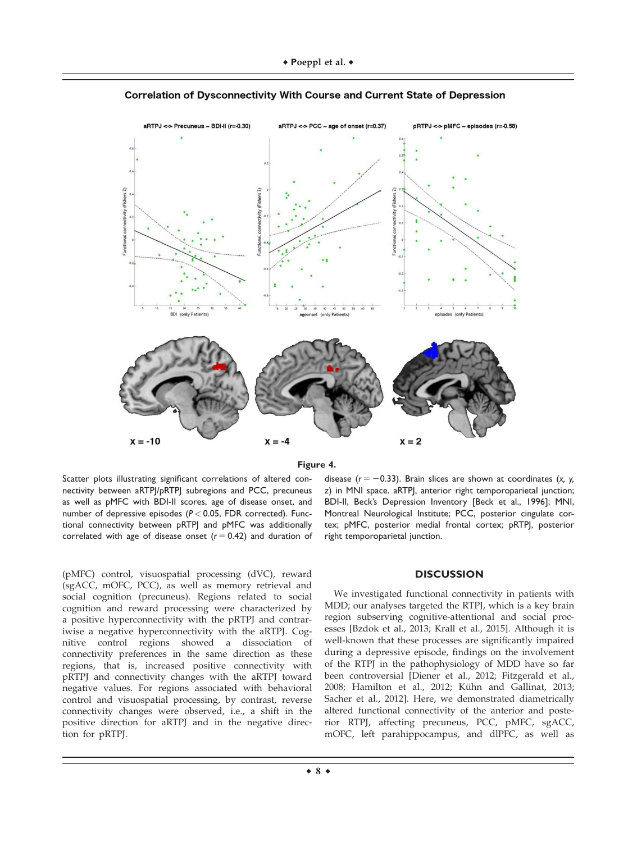

Correlation of Dysconnectivity With Course and Current State of Depression



Scatter plots illustrating significant correlations of altered connectivity between aRTPJ/pRTPJ subregions and PCC, precuneus as well as pMFC with BDI-II scores, age of disease onset, and number of depressive episodes (*P* < 0.05, FDR corrected). Functional connectivity between pRTPJ and pMFC was additionally correlated with age of disease onset  $(r = 0.42)$  and duration of

(pMFC) control, visuospatial processing (dVC), reward (sgACC, mOFC, PCC), as well as memory retrieval and social cognition (precuneus). Regions related to social cognition and reward processing were characterized by a positive hyperconnectivity with the pRTPJ and contrariwise a negative hyperconnectivity with the aRTPJ. Cognitive control regions showed a dissociation of connectivity preferences in the same direction as these regions, that is, increased positive connectivity with pRTPJ and connectivity changes with the aRTPJ toward negative values. For regions associated with behavioral control and visuospatial processing, by contrast, reverse connectivity changes were observed, i.e., a shift in the positive direction for aRTPJ and in the negative direction for pRTPJ.

disease  $(r = -0.33)$ . Brain slices are shown at coordinates  $(x, y, z)$ *z*) in MNI space. aRTPJ, anterior right temporoparietal junction; BDI-II, Beck's Depression Inventory [Beck et al., 1996]; MNI, Montreal Neurological Institute; PCC, posterior cingulate cortex; pMFC, posterior medial frontal cortex; pRTPJ, posterior right temporoparietal junction.

#### **DISCUSSION**

We investigated functional connectivity in patients with MDD; our analyses targeted the RTPJ, which is a key brain region subserving cognitive-attentional and social processes [Bzdok et al., 2013; Krall et al., 2015]. Although it is well-known that these processes are significantly impaired during a depressive episode, findings on the involvement of the RTPJ in the pathophysiology of MDD have so far been controversial [Diener et al., 2012; Fitzgerald et al., 2008; Hamilton et al., 2012; Kühn and Gallinat, 2013; Sacher et al., 2012]. Here, we demonstrated diametrically altered functional connectivity of the anterior and posterior RTPJ, affecting precuneus, PCC, pMFC, sgACC, mOFC, left parahippocampus, and dlPFC, as well as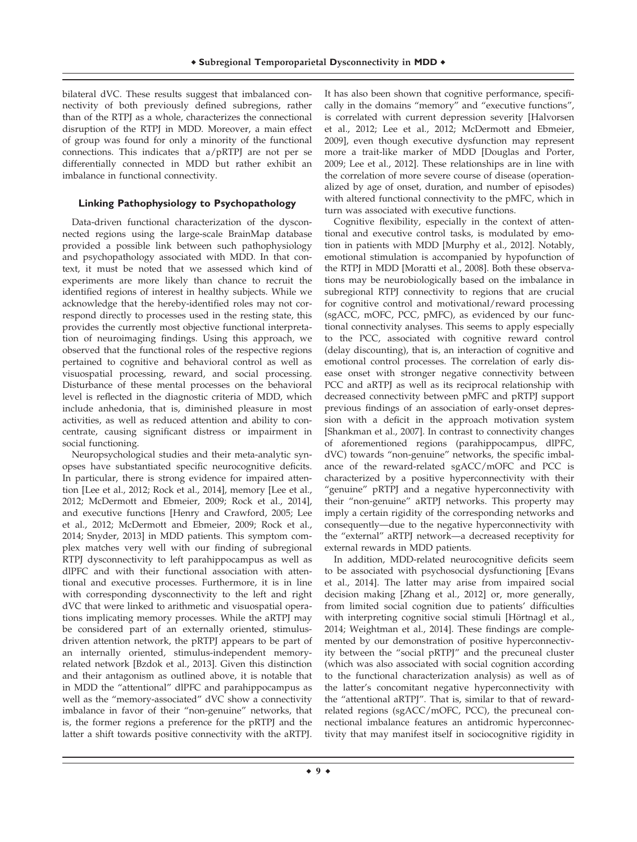bilateral dVC. These results suggest that imbalanced connectivity of both previously defined subregions, rather than of the RTPJ as a whole, characterizes the connectional disruption of the RTPJ in MDD. Moreover, a main effect of group was found for only a minority of the functional connections. This indicates that a/pRTPJ are not per se differentially connected in MDD but rather exhibit an imbalance in functional connectivity.

# **Linking Pathophysiology to Psychopathology**

Data-driven functional characterization of the dysconnected regions using the large-scale BrainMap database provided a possible link between such pathophysiology and psychopathology associated with MDD. In that context, it must be noted that we assessed which kind of experiments are more likely than chance to recruit the identified regions of interest in healthy subjects. While we acknowledge that the hereby-identified roles may not correspond directly to processes used in the resting state, this provides the currently most objective functional interpretation of neuroimaging findings. Using this approach, we observed that the functional roles of the respective regions pertained to cognitive and behavioral control as well as visuospatial processing, reward, and social processing. Disturbance of these mental processes on the behavioral level is reflected in the diagnostic criteria of MDD, which include anhedonia, that is, diminished pleasure in most activities, as well as reduced attention and ability to concentrate, causing significant distress or impairment in social functioning.

Neuropsychological studies and their meta-analytic synopses have substantiated specific neurocognitive deficits. In particular, there is strong evidence for impaired attention [Lee et al., 2012; Rock et al., 2014], memory [Lee et al., 2012; McDermott and Ebmeier, 2009; Rock et al., 2014], and executive functions [Henry and Crawford, 2005; Lee et al., 2012; McDermott and Ebmeier, 2009; Rock et al., 2014; Snyder, 2013] in MDD patients. This symptom complex matches very well with our finding of subregional RTPJ dysconnectivity to left parahippocampus as well as dlPFC and with their functional association with attentional and executive processes. Furthermore, it is in line with corresponding dysconnectivity to the left and right dVC that were linked to arithmetic and visuospatial operations implicating memory processes. While the aRTPJ may be considered part of an externally oriented, stimulusdriven attention network, the pRTPJ appears to be part of an internally oriented, stimulus-independent memoryrelated network [Bzdok et al., 2013]. Given this distinction and their antagonism as outlined above, it is notable that in MDD the "attentional" dlPFC and parahippocampus as well as the "memory-associated" dVC show a connectivity imbalance in favor of their "non-genuine" networks, that is, the former regions a preference for the pRTPJ and the latter a shift towards positive connectivity with the aRTPJ.

It has also been shown that cognitive performance, specifically in the domains "memory" and "executive functions", is correlated with current depression severity [Halvorsen et al., 2012; Lee et al., 2012; McDermott and Ebmeier, 2009], even though executive dysfunction may represent more a trait-like marker of MDD [Douglas and Porter, 2009; Lee et al., 2012]. These relationships are in line with the correlation of more severe course of disease (operationalized by age of onset, duration, and number of episodes) with altered functional connectivity to the pMFC, which in turn was associated with executive functions.

Cognitive flexibility, especially in the context of attentional and executive control tasks, is modulated by emotion in patients with MDD [Murphy et al., 2012]. Notably, emotional stimulation is accompanied by hypofunction of the RTPJ in MDD [Moratti et al., 2008]. Both these observations may be neurobiologically based on the imbalance in subregional RTPJ connectivity to regions that are crucial for cognitive control and motivational/reward processing (sgACC, mOFC, PCC, pMFC), as evidenced by our functional connectivity analyses. This seems to apply especially to the PCC, associated with cognitive reward control (delay discounting), that is, an interaction of cognitive and emotional control processes. The correlation of early disease onset with stronger negative connectivity between PCC and aRTPJ as well as its reciprocal relationship with decreased connectivity between pMFC and pRTPJ support previous findings of an association of early-onset depression with a deficit in the approach motivation system [Shankman et al., 2007]. In contrast to connectivity changes of aforementioned regions (parahippocampus, dlPFC, dVC) towards "non-genuine" networks, the specific imbalance of the reward-related sgACC/mOFC and PCC is characterized by a positive hyperconnectivity with their "genuine" pRTPJ and a negative hyperconnectivity with their "non-genuine" aRTPJ networks. This property may imply a certain rigidity of the corresponding networks and consequently—due to the negative hyperconnectivity with the "external" aRTPJ network—a decreased receptivity for external rewards in MDD patients.

In addition, MDD-related neurocognitive deficits seem to be associated with psychosocial dysfunctioning [Evans et al., 2014]. The latter may arise from impaired social decision making [Zhang et al., 2012] or, more generally, from limited social cognition due to patients' difficulties with interpreting cognitive social stimuli [Hörtnagl et al., 2014; Weightman et al., 2014]. These findings are complemented by our demonstration of positive hyperconnectivity between the "social pRTPJ" and the precuneal cluster (which was also associated with social cognition according to the functional characterization analysis) as well as of the latter's concomitant negative hyperconnectivity with the "attentional aRTPJ". That is, similar to that of rewardrelated regions (sgACC/mOFC, PCC), the precuneal connectional imbalance features an antidromic hyperconnectivity that may manifest itself in sociocognitive rigidity in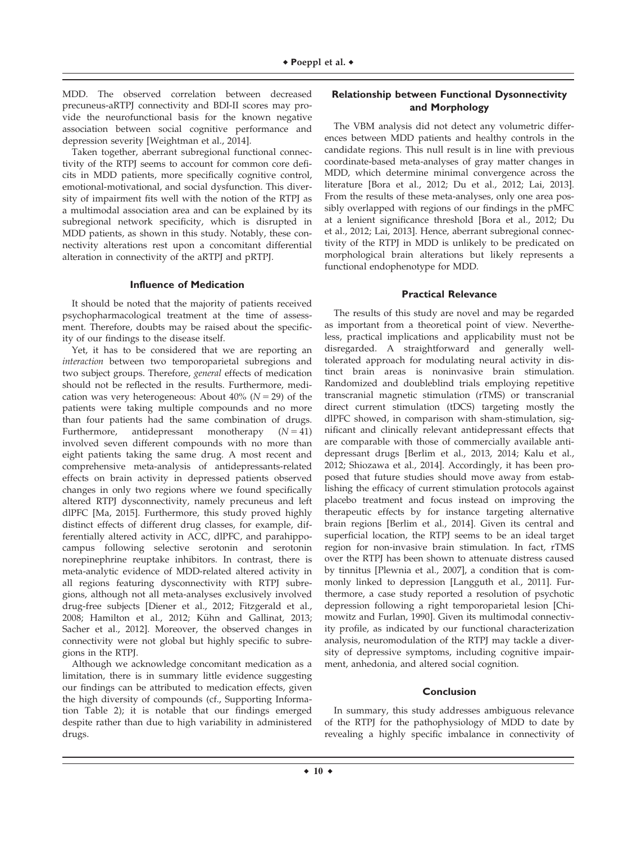MDD. The observed correlation between decreased precuneus-aRTPJ connectivity and BDI-II scores may provide the neurofunctional basis for the known negative association between social cognitive performance and depression severity [Weightman et al., 2014].

Taken together, aberrant subregional functional connectivity of the RTPJ seems to account for common core deficits in MDD patients, more specifically cognitive control, emotional-motivational, and social dysfunction. This diversity of impairment fits well with the notion of the RTPJ as a multimodal association area and can be explained by its subregional network specificity, which is disrupted in MDD patients, as shown in this study. Notably, these connectivity alterations rest upon a concomitant differential alteration in connectivity of the aRTPJ and pRTPJ.

#### **Influence of Medication**

It should be noted that the majority of patients received psychopharmacological treatment at the time of assessment. Therefore, doubts may be raised about the specificity of our findings to the disease itself.

Yet, it has to be considered that we are reporting an interaction between two temporoparietal subregions and two subject groups. Therefore, general effects of medication should not be reflected in the results. Furthermore, medication was very heterogeneous: About 40% ( $N = 29$ ) of the patients were taking multiple compounds and no more than four patients had the same combination of drugs. Furthermore, antidepressant monotherapy  $(N = 41)$ involved seven different compounds with no more than eight patients taking the same drug. A most recent and comprehensive meta-analysis of antidepressants-related effects on brain activity in depressed patients observed changes in only two regions where we found specifically altered RTPJ dysconnectivity, namely precuneus and left dlPFC [Ma, 2015]. Furthermore, this study proved highly distinct effects of different drug classes, for example, differentially altered activity in ACC, dlPFC, and parahippocampus following selective serotonin and serotonin norepinephrine reuptake inhibitors. In contrast, there is meta-analytic evidence of MDD-related altered activity in all regions featuring dysconnectivity with RTPJ subregions, although not all meta-analyses exclusively involved drug-free subjects [Diener et al., 2012; Fitzgerald et al., 2008; Hamilton et al., 2012; Kühn and Gallinat, 2013; Sacher et al., 2012]. Moreover, the observed changes in connectivity were not global but highly specific to subregions in the RTPJ.

Although we acknowledge concomitant medication as a limitation, there is in summary little evidence suggesting our findings can be attributed to medication effects, given the high diversity of compounds (cf., Supporting Information Table 2); it is notable that our findings emerged despite rather than due to high variability in administered drugs.

# **Relationship between Functional Dysonnectivity and Morphology**

The VBM analysis did not detect any volumetric differences between MDD patients and healthy controls in the candidate regions. This null result is in line with previous coordinate-based meta-analyses of gray matter changes in MDD, which determine minimal convergence across the literature [Bora et al., 2012; Du et al., 2012; Lai, 2013]. From the results of these meta-analyses, only one area possibly overlapped with regions of our findings in the pMFC at a lenient significance threshold [Bora et al., 2012; Du et al., 2012; Lai, 2013]. Hence, aberrant subregional connectivity of the RTPJ in MDD is unlikely to be predicated on morphological brain alterations but likely represents a functional endophenotype for MDD.

#### **Practical Relevance**

The results of this study are novel and may be regarded as important from a theoretical point of view. Nevertheless, practical implications and applicability must not be disregarded. A straightforward and generally welltolerated approach for modulating neural activity in distinct brain areas is noninvasive brain stimulation. Randomized and doubleblind trials employing repetitive transcranial magnetic stimulation (rTMS) or transcranial direct current stimulation (tDCS) targeting mostly the dlPFC showed, in comparison with sham-stimulation, significant and clinically relevant antidepressant effects that are comparable with those of commercially available antidepressant drugs [Berlim et al., 2013, 2014; Kalu et al., 2012; Shiozawa et al., 2014]. Accordingly, it has been proposed that future studies should move away from establishing the efficacy of current stimulation protocols against placebo treatment and focus instead on improving the therapeutic effects by for instance targeting alternative brain regions [Berlim et al., 2014]. Given its central and superficial location, the RTPJ seems to be an ideal target region for non-invasive brain stimulation. In fact, rTMS over the RTPJ has been shown to attenuate distress caused by tinnitus [Plewnia et al., 2007], a condition that is commonly linked to depression [Langguth et al., 2011]. Furthermore, a case study reported a resolution of psychotic depression following a right temporoparietal lesion [Chimowitz and Furlan, 1990]. Given its multimodal connectivity profile, as indicated by our functional characterization analysis, neuromodulation of the RTPJ may tackle a diversity of depressive symptoms, including cognitive impairment, anhedonia, and altered social cognition.

#### **Conclusion**

In summary, this study addresses ambiguous relevance of the RTPJ for the pathophysiology of MDD to date by revealing a highly specific imbalance in connectivity of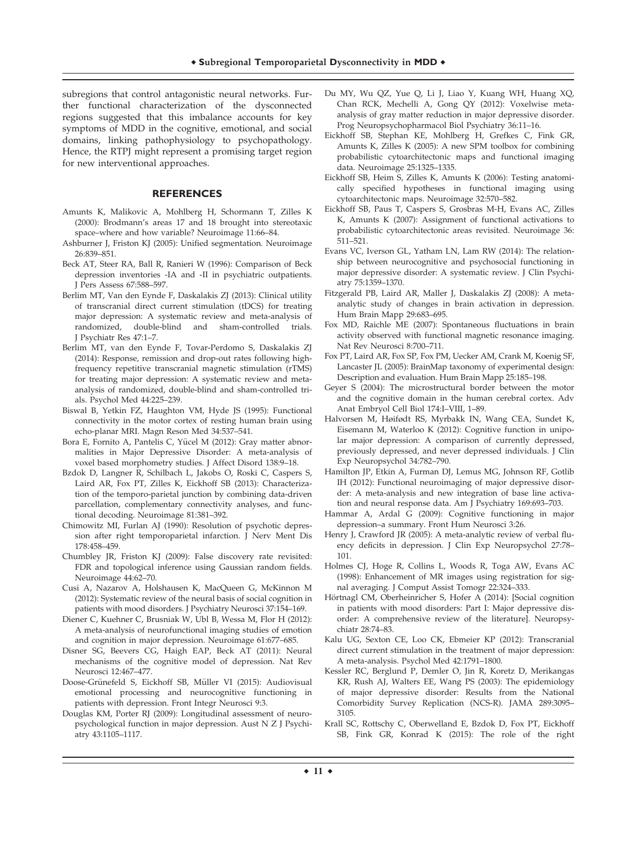subregions that control antagonistic neural networks. Further functional characterization of the dysconnected regions suggested that this imbalance accounts for key symptoms of MDD in the cognitive, emotional, and social domains, linking pathophysiology to psychopathology. Hence, the RTPJ might represent a promising target region for new interventional approaches.

# **REFERENCES**

- Amunts K, Malikovic A, Mohlberg H, Schormann T, Zilles K (2000): Brodmann's areas 17 and 18 brought into stereotaxic space–where and how variable? Neuroimage 11:66–84.
- Ashburner J, Friston KJ (2005): Unified segmentation. Neuroimage 26:839–851.
- Beck AT, Steer RA, Ball R, Ranieri W (1996): Comparison of Beck depression inventories -IA and -II in psychiatric outpatients. J Pers Assess 67:588–597.
- Berlim MT, Van den Eynde F, Daskalakis ZJ (2013): Clinical utility of transcranial direct current stimulation (tDCS) for treating major depression: A systematic review and meta-analysis of randomized, double-blind and sham-controlled trials. J Psychiatr Res 47:1–7.
- Berlim MT, van den Eynde F, Tovar-Perdomo S, Daskalakis ZJ (2014): Response, remission and drop-out rates following highfrequency repetitive transcranial magnetic stimulation (rTMS) for treating major depression: A systematic review and metaanalysis of randomized, double-blind and sham-controlled trials. Psychol Med 44:225–239.
- Biswal B, Yetkin FZ, Haughton VM, Hyde JS (1995): Functional connectivity in the motor cortex of resting human brain using echo-planar MRI. Magn Reson Med 34:537–541.
- Bora E, Fornito A, Pantelis C, Yücel M (2012): Gray matter abnormalities in Major Depressive Disorder: A meta-analysis of voxel based morphometry studies. J Affect Disord 138:9–18.
- Bzdok D, Langner R, Schilbach L, Jakobs O, Roski C, Caspers S, Laird AR, Fox PT, Zilles K, Eickhoff SB (2013): Characterization of the temporo-parietal junction by combining data-driven parcellation, complementary connectivity analyses, and functional decoding. Neuroimage 81:381–392.
- Chimowitz MI, Furlan AJ (1990): Resolution of psychotic depression after right temporoparietal infarction. J Nerv Ment Dis 178:458–459.
- Chumbley JR, Friston KJ (2009): False discovery rate revisited: FDR and topological inference using Gaussian random fields. Neuroimage 44:62–70.
- Cusi A, Nazarov A, Holshausen K, MacQueen G, McKinnon M (2012): Systematic review of the neural basis of social cognition in patients with mood disorders. J Psychiatry Neurosci 37:154–169.
- Diener C, Kuehner C, Brusniak W, Ubl B, Wessa M, Flor H (2012): A meta-analysis of neurofunctional imaging studies of emotion and cognition in major depression. Neuroimage 61:677–685.
- Disner SG, Beevers CG, Haigh EAP, Beck AT (2011): Neural mechanisms of the cognitive model of depression. Nat Rev Neurosci 12:467–477.
- Doose-Grünefeld S, Eickhoff SB, Müller VI (2015): Audiovisual emotional processing and neurocognitive functioning in patients with depression. Front Integr Neurosci 9:3.
- Douglas KM, Porter RJ (2009): Longitudinal assessment of neuropsychological function in major depression. Aust N Z J Psychiatry 43:1105–1117.
- Du MY, Wu QZ, Yue Q, Li J, Liao Y, Kuang WH, Huang XQ, Chan RCK, Mechelli A, Gong QY (2012): Voxelwise metaanalysis of gray matter reduction in major depressive disorder. Prog Neuropsychopharmacol Biol Psychiatry 36:11–16.
- Eickhoff SB, Stephan KE, Mohlberg H, Grefkes C, Fink GR, Amunts K, Zilles K (2005): A new SPM toolbox for combining probabilistic cytoarchitectonic maps and functional imaging data. Neuroimage 25:1325–1335.
- Eickhoff SB, Heim S, Zilles K, Amunts K (2006): Testing anatomically specified hypotheses in functional imaging using cytoarchitectonic maps. Neuroimage 32:570–582.
- Eickhoff SB, Paus T, Caspers S, Grosbras M-H, Evans AC, Zilles K, Amunts K (2007): Assignment of functional activations to probabilistic cytoarchitectonic areas revisited. Neuroimage 36: 511–521.
- Evans VC, Iverson GL, Yatham LN, Lam RW (2014): The relationship between neurocognitive and psychosocial functioning in major depressive disorder: A systematic review. J Clin Psychiatry 75:1359–1370.
- Fitzgerald PB, Laird AR, Maller J, Daskalakis ZJ (2008): A metaanalytic study of changes in brain activation in depression. Hum Brain Mapp 29:683–695.
- Fox MD, Raichle ME (2007): Spontaneous fluctuations in brain activity observed with functional magnetic resonance imaging. Nat Rev Neurosci 8:700–711.
- Fox PT, Laird AR, Fox SP, Fox PM, Uecker AM, Crank M, Koenig SF, Lancaster JL (2005): BrainMap taxonomy of experimental design: Description and evaluation. Hum Brain Mapp 25:185–198.
- Geyer S (2004): The microstructural border between the motor and the cognitive domain in the human cerebral cortex. Adv Anat Embryol Cell Biol 174:I–VIII, 1–89.
- Halvorsen M, Høifødt RS, Myrbakk IN, Wang CEA, Sundet K, Eisemann M, Waterloo K (2012): Cognitive function in unipolar major depression: A comparison of currently depressed, previously depressed, and never depressed individuals. J Clin Exp Neuropsychol 34:782–790.
- Hamilton JP, Etkin A, Furman DJ, Lemus MG, Johnson RF, Gotlib IH (2012): Functional neuroimaging of major depressive disorder: A meta-analysis and new integration of base line activation and neural response data. Am J Psychiatry 169:693–703.
- Hammar A, Ardal G (2009): Cognitive functioning in major depression–a summary. Front Hum Neurosci 3:26.
- Henry J, Crawford JR (2005): A meta-analytic review of verbal fluency deficits in depression. J Clin Exp Neuropsychol 27:78– 101.
- Holmes CJ, Hoge R, Collins L, Woods R, Toga AW, Evans AC (1998): Enhancement of MR images using registration for signal averaging. J Comput Assist Tomogr 22:324–333.
- Hörtnagl CM, Oberheinricher S, Hofer A (2014): [Social cognition in patients with mood disorders: Part I: Major depressive disorder: A comprehensive review of the literature]. Neuropsychiatr 28:74–83.
- Kalu UG, Sexton CE, Loo CK, Ebmeier KP (2012): Transcranial direct current stimulation in the treatment of major depression: A meta-analysis. Psychol Med 42:1791–1800.
- Kessler RC, Berglund P, Demler O, Jin R, Koretz D, Merikangas KR, Rush AJ, Walters EE, Wang PS (2003): The epidemiology of major depressive disorder: Results from the National Comorbidity Survey Replication (NCS-R). JAMA 289:3095– 3105.
- Krall SC, Rottschy C, Oberwelland E, Bzdok D, Fox PT, Eickhoff SB, Fink GR, Konrad K (2015): The role of the right